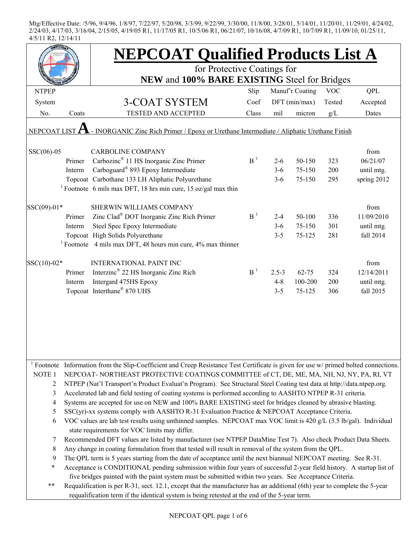|                        |                                                                                                           | <b>NEPCOAT Qualified Products List A</b>                                                                                   |                |           |                 |            |             |  |  |  |
|------------------------|-----------------------------------------------------------------------------------------------------------|----------------------------------------------------------------------------------------------------------------------------|----------------|-----------|-----------------|------------|-------------|--|--|--|
|                        |                                                                                                           | for Protective Coatings for                                                                                                |                |           |                 |            |             |  |  |  |
|                        |                                                                                                           | NEW and 100% BARE EXISTING Steel for Bridges                                                                               |                |           |                 |            |             |  |  |  |
| <b>NTPEP</b>           |                                                                                                           |                                                                                                                            | Slip           |           | Manuf'r Coating | <b>VOC</b> | <b>QPL</b>  |  |  |  |
| System                 |                                                                                                           | <b>3-COAT SYSTEM</b>                                                                                                       | Coef           |           | $DFT$ (min/max) | Tested     | Accepted    |  |  |  |
| No.                    | Coats                                                                                                     | <b>TESTED AND ACCEPTED</b>                                                                                                 | Class          | mil       | micron          | g/L        | Dates       |  |  |  |
|                        | - INORGANIC Zinc Rich Primer / Epoxy or Urethane Intermediate / Aliphatic Urethane Finish<br>NEPCOAT LIST |                                                                                                                            |                |           |                 |            |             |  |  |  |
| $SSC(06)-05$           |                                                                                                           | <b>CARBOLINE COMPANY</b>                                                                                                   |                |           |                 |            | from        |  |  |  |
|                        | Primer                                                                                                    | Carbozinc <sup>®</sup> 11 HS Inorganic Zinc Primer                                                                         | B <sup>1</sup> | $2 - 6$   | 50-150          | 323        | 06/21/07    |  |  |  |
|                        | Interm                                                                                                    | Carboguard <sup>®</sup> 893 Epoxy Intermediate                                                                             |                | $3 - 6$   | 75-150          | 200        | until mtg.  |  |  |  |
|                        |                                                                                                           | Topcoat Carbothane 133 LH Aliphatic Polyurethane                                                                           |                | $3 - 6$   | 75-150          | 295        | spring 2012 |  |  |  |
|                        |                                                                                                           | <sup>1</sup> Footnote 6 mils max DFT, 18 hrs min cure, 15 oz/gal max thin                                                  |                |           |                 |            |             |  |  |  |
| SSC(09)-01*            |                                                                                                           | SHERWIN WILLIAMS COMPANY                                                                                                   |                |           |                 |            | from        |  |  |  |
|                        | Primer                                                                                                    | Zinc Clad <sup>®</sup> DOT Inorganic Zinc Rich Primer                                                                      | B <sup>1</sup> | $2 - 4$   | 50-100          | 336        | 11/09/2010  |  |  |  |
|                        | Interm                                                                                                    | Steel Spec Epoxy Intermediate                                                                                              |                | $3 - 6$   | 75-150          | 301        | until mtg.  |  |  |  |
|                        |                                                                                                           | Topcoat High Solids Polyurethane                                                                                           |                | $3 - 5$   | 75-125          | 281        | fall 2014   |  |  |  |
|                        |                                                                                                           | <sup>1</sup> Footnote 4 mils max DFT, 48 hours min cure, $4\%$ max thinner                                                 |                |           |                 |            |             |  |  |  |
| SSC(10)-02*            |                                                                                                           | <b>INTERNATIONAL PAINT INC</b>                                                                                             |                |           |                 |            | from        |  |  |  |
|                        | Primer                                                                                                    | Interzinc <sup>®</sup> 22 HS Inorganic Zinc Rich                                                                           | B <sup>1</sup> | $2.5 - 3$ | $62 - 75$       | 324        | 12/14/2011  |  |  |  |
|                        | Interm                                                                                                    | Intergard 475HS Epoxy                                                                                                      |                | $4 - 8$   | 100-200         | 200        | until mtg.  |  |  |  |
|                        |                                                                                                           | Topcoat Interthane® 870 UHS                                                                                                |                | $3 - 5$   | 75-125          | 306        | fall 2015   |  |  |  |
|                        |                                                                                                           |                                                                                                                            |                |           |                 |            |             |  |  |  |
| $\frac{1}{1}$ Footnote |                                                                                                           | Information from the Slip-Coefficient and Creep Resistance Test Certificate is given for use w/ primed bolted connections. |                |           |                 |            |             |  |  |  |
| NOTE <sub>1</sub>      |                                                                                                           | NEPCOAT-NORTHEAST PROTECTIVE COATINGS COMMITTEE of CT, DE, ME, MA, NH, NJ, NY, PA, RI, VT                                  |                |           |                 |            |             |  |  |  |
| 2                      |                                                                                                           | NTPEP (Nat'l Transport'n Product Evaluat'n Program). See Structural Steel Coating test data at http://data.ntpep.org.      |                |           |                 |            |             |  |  |  |
| 3                      |                                                                                                           | Accelerated lab and field testing of coating systems is performed according to AASHTO NTPEP R-31 criteria.                 |                |           |                 |            |             |  |  |  |
| 4                      |                                                                                                           | Systems are accepted for use on NEW and 100% BARE EXISTING steel for bridges cleaned by abrasive blasting.                 |                |           |                 |            |             |  |  |  |
| 5                      |                                                                                                           | $SSC(yr)$ -xx systems comply with AASHTO R-31 Evaluation Practice & NEPCOAT Acceptance Criteria.                           |                |           |                 |            |             |  |  |  |
| 6                      |                                                                                                           | VOC values are lab test results using unthinned samples. NEPCOAT max VOC limit is 420 g/L (3.5 lb/gal). Individual         |                |           |                 |            |             |  |  |  |
|                        |                                                                                                           | state requirements for VOC limits may differ.                                                                              |                |           |                 |            |             |  |  |  |
| 7                      |                                                                                                           | Recommended DFT values are listed by manufacturer (see NTPEP DataMine Test 7). Also check Product Data Sheets.             |                |           |                 |            |             |  |  |  |
| 8                      |                                                                                                           | Any change in coating formulation from that tested will result in removal of the system from the QPL.                      |                |           |                 |            |             |  |  |  |
| 9                      |                                                                                                           | The QPL term is 5 years starting from the date of acceptance until the next biannual NEPCOAT meeting. See R-31.            |                |           |                 |            |             |  |  |  |
| $\ast$                 |                                                                                                           | Acceptance is CONDITIONAL pending submission within four years of successful 2-year field history. A startup list of       |                |           |                 |            |             |  |  |  |
|                        |                                                                                                           | five bridges painted with the paint system must be submitted within two years. See Acceptance Criteria.                    |                |           |                 |            |             |  |  |  |
| $***$                  |                                                                                                           | Requalification is per R-31, sect. 12.1, except that the manufacturer has an additional (6th) year to complete the 5-year  |                |           |                 |            |             |  |  |  |
|                        |                                                                                                           | requalification term if the identical system is being retested at the end of the 5-year term.                              |                |           |                 |            |             |  |  |  |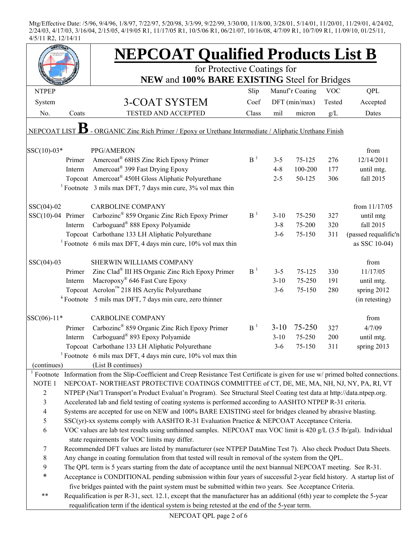|                     |        | <b>NEPCOAT Qualified Products List B</b>                                                                                            |                |          |                 |            |                      |  |  |  |
|---------------------|--------|-------------------------------------------------------------------------------------------------------------------------------------|----------------|----------|-----------------|------------|----------------------|--|--|--|
|                     |        | for Protective Coatings for                                                                                                         |                |          |                 |            |                      |  |  |  |
|                     |        | NEW and 100% BARE EXISTING Steel for Bridges                                                                                        |                |          |                 |            |                      |  |  |  |
| <b>NTPEP</b>        |        |                                                                                                                                     | Slip           |          | Manuf'r Coating | <b>VOC</b> | QPL                  |  |  |  |
| System              |        | 3-COAT SYSTEM                                                                                                                       | Coef           |          | $DFT$ (min/max) | Tested     | Accepted             |  |  |  |
| No.                 | Coats  | <b>TESTED AND ACCEPTED</b>                                                                                                          | Class          | mil      | micron          | g/L        | Dates                |  |  |  |
| NEPCOAT LIST        |        | - ORGANIC Zinc Rich Primer / Epoxy or Urethane Intermediate / Aliphatic Urethane Finish                                             |                |          |                 |            |                      |  |  |  |
| SSC(10)-03*         |        | PPG/AMERON                                                                                                                          |                |          |                 |            | from                 |  |  |  |
|                     | Primer | Amercoat <sup>®</sup> 68HS Zinc Rich Epoxy Primer                                                                                   | $B-1$          | $3 - 5$  | 75-125          | 276        | 12/14/2011           |  |  |  |
|                     | Interm | Amercoat <sup>®</sup> 399 Fast Drying Epoxy                                                                                         |                | $4 - 8$  | 100-200         | 177        | until mtg.           |  |  |  |
|                     |        | Topcoat Amercoat <sup>®</sup> 450H Gloss Aliphatic Polyurethane                                                                     |                | $2 - 5$  | 50-125          | 306        | fall 2015            |  |  |  |
|                     |        | <sup>1</sup> Footnote 3 mils max DFT, 7 days min cure, $3\%$ vol max thin                                                           |                |          |                 |            |                      |  |  |  |
| $SSC(04)-02$        |        | <b>CARBOLINE COMPANY</b>                                                                                                            |                |          |                 |            | from 11/17/05        |  |  |  |
| $SSC(10)-04$ Primer |        | Carbozinc <sup>®</sup> 859 Organic Zinc Rich Epoxy Primer                                                                           | B <sup>1</sup> | $3 - 10$ | 75-250          | 327        | until mtg            |  |  |  |
|                     | Interm | Carboguard <sup>®</sup> 888 Epoxy Polyamide                                                                                         |                | $3 - 8$  | 75-200          | 320        | fall 2015            |  |  |  |
|                     |        | Topcoat Carbothane 133 LH Aliphatic Polyurethane                                                                                    |                | $3 - 6$  | 75-150          | 311        | (passed requalific'n |  |  |  |
|                     |        | <sup>1</sup> Footnote 6 mils max DFT, 4 days min cure, $10\%$ vol max thin                                                          |                |          |                 |            | as SSC 10-04)        |  |  |  |
| $SSC(04)-03$        |        | SHERWIN WILLIAMS COMPANY                                                                                                            |                |          |                 |            | from                 |  |  |  |
|                     | Primer | Zinc Clad <sup>®</sup> III HS Organic Zinc Rich Epoxy Primer                                                                        | B <sup>1</sup> | $3 - 5$  | 75-125          | 330        | 11/17/05             |  |  |  |
|                     | Interm | Macropoxy <sup>®</sup> 646 Fast Cure Epoxy                                                                                          |                | $3 - 10$ | 75-250          | 191        | until mtg.           |  |  |  |
|                     |        | Topcoat Acrolon™ 218 HS Acrylic Polyurethane                                                                                        |                | $3 - 6$  | 75-150          | 280        | spring 2012          |  |  |  |
|                     |        | <sup>+</sup> Footnote 5 mils max DFT, 7 days min cure, zero thinner                                                                 |                |          |                 |            | (in retesting)       |  |  |  |
|                     |        |                                                                                                                                     |                |          |                 |            |                      |  |  |  |
| SSC(06)-11*         |        | <b>CARBOLINE COMPANY</b>                                                                                                            |                |          |                 |            | from                 |  |  |  |
|                     | Primer | Carbozinc <sup>®</sup> 859 Organic Zinc Rich Epoxy Primer                                                                           | B <sup>1</sup> | $3-10$   | 75-250          | 327        | 4/7/09               |  |  |  |
|                     | Interm | Carboguard® 893 Epoxy Polyamide                                                                                                     |                | $3 - 10$ | 75-250          | 200        | until mtg.           |  |  |  |
|                     |        | Topcoat Carbothane 133 LH Aliphatic Polyurethane                                                                                    |                | $3-6$    | 75-150          | 311        | spring 2013          |  |  |  |
|                     |        | <sup>1</sup> Footnote 6 mils max DFT, 4 days min cure, $10\%$ vol max thin                                                          |                |          |                 |            |                      |  |  |  |
| (continues)         |        | (List B continues)                                                                                                                  |                |          |                 |            |                      |  |  |  |
|                     |        | Footnote Information from the Slip-Coefficient and Creep Resistance Test Certificate is given for use w/ primed bolted connections. |                |          |                 |            |                      |  |  |  |
| NOTE <sub>1</sub>   |        | NEPCOAT-NORTHEAST PROTECTIVE COATINGS COMMITTEE of CT, DE, ME, MA, NH, NJ, NY, PA, RI, VT                                           |                |          |                 |            |                      |  |  |  |
| $\overline{c}$      |        | NTPEP (Nat'l Transport'n Product Evaluat'n Program). See Structural Steel Coating test data at http://data.ntpep.org.               |                |          |                 |            |                      |  |  |  |
| $\mathfrak{Z}$      |        | Accelerated lab and field testing of coating systems is performed according to AASHTO NTPEP R-31 criteria.                          |                |          |                 |            |                      |  |  |  |
| $\overline{4}$      |        | Systems are accepted for use on NEW and 100% BARE EXISTING steel for bridges cleaned by abrasive blasting.                          |                |          |                 |            |                      |  |  |  |
| $\mathfrak s$       |        | $SSC(yr)$ -xx systems comply with AASHTO R-31 Evaluation Practice & NEPCOAT Acceptance Criteria.                                    |                |          |                 |            |                      |  |  |  |
| 6                   |        | VOC values are lab test results using unthinned samples. NEPCOAT max VOC limit is 420 g/L (3.5 lb/gal). Individual                  |                |          |                 |            |                      |  |  |  |
|                     |        | state requirements for VOC limits may differ.                                                                                       |                |          |                 |            |                      |  |  |  |
| $\tau$              |        | Recommended DFT values are listed by manufacturer (see NTPEP DataMine Test 7). Also check Product Data Sheets.                      |                |          |                 |            |                      |  |  |  |
| $8\,$               |        | Any change in coating formulation from that tested will result in removal of the system from the QPL.                               |                |          |                 |            |                      |  |  |  |
| 9                   |        | The QPL term is 5 years starting from the date of acceptance until the next biannual NEPCOAT meeting. See R-31.                     |                |          |                 |            |                      |  |  |  |
| $\ast$              |        | Acceptance is CONDITIONAL pending submission within four years of successful 2-year field history. A startup list of                |                |          |                 |            |                      |  |  |  |
|                     |        | five bridges painted with the paint system must be submitted within two years. See Acceptance Criteria.                             |                |          |                 |            |                      |  |  |  |
| **                  |        | Requalification is per R-31, sect. 12.1, except that the manufacturer has an additional (6th) year to complete the 5-year           |                |          |                 |            |                      |  |  |  |
|                     |        | requalification term if the identical system is being retested at the end of the 5-year term.                                       |                |          |                 |            |                      |  |  |  |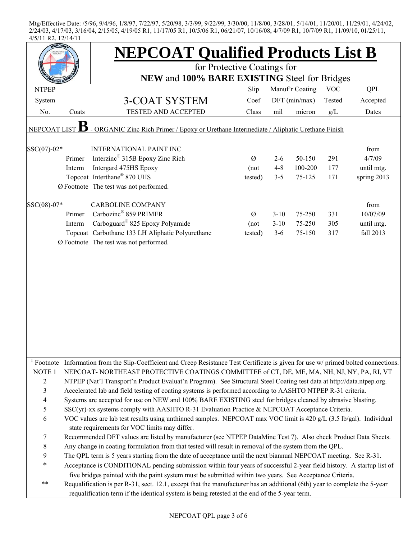| EPCO <sub>2</sub>        |                                                                                                         | <b>NEPCOAT Qualified Products List B</b>                                                                                                         |         |          |                 |            |             |  |  |  |
|--------------------------|---------------------------------------------------------------------------------------------------------|--------------------------------------------------------------------------------------------------------------------------------------------------|---------|----------|-----------------|------------|-------------|--|--|--|
|                          |                                                                                                         | for Protective Coatings for                                                                                                                      |         |          |                 |            |             |  |  |  |
|                          |                                                                                                         | NEW and 100% BARE EXISTING Steel for Bridges                                                                                                     |         |          |                 |            |             |  |  |  |
| <b>NTPEP</b>             |                                                                                                         |                                                                                                                                                  | Slip    |          | Manuf'r Coating | <b>VOC</b> | QPL         |  |  |  |
| System                   |                                                                                                         | 3-COAT SYSTEM                                                                                                                                    | Coef    |          | DFT (min/max)   | Tested     | Accepted    |  |  |  |
| No.                      | Coats                                                                                                   | <b>TESTED AND ACCEPTED</b>                                                                                                                       | Class   | mil      | micron          | g/L        | Dates       |  |  |  |
|                          | - ORGANIC Zinc Rich Primer / Epoxy or Urethane Intermediate / Aliphatic Urethane Finish<br>NEPCOAT LIST |                                                                                                                                                  |         |          |                 |            |             |  |  |  |
| SSC(07)-02*              |                                                                                                         | <b>INTERNATIONAL PAINT INC</b>                                                                                                                   |         |          |                 |            | from        |  |  |  |
|                          | Primer                                                                                                  | Interzinc <sup>®</sup> 315B Epoxy Zinc Rich                                                                                                      | Ø       | $2 - 6$  | 50-150          | 291        | 4/7/09      |  |  |  |
|                          | Interm                                                                                                  | Intergard 475HS Epoxy                                                                                                                            | (not    | $4 - 8$  | 100-200         | 177        | until mtg.  |  |  |  |
|                          |                                                                                                         | Topcoat Interthane® 870 UHS                                                                                                                      | tested) | $3 - 5$  | 75-125          | 171        | spring 2013 |  |  |  |
|                          |                                                                                                         | Ø Footnote The test was not performed.                                                                                                           |         |          |                 |            |             |  |  |  |
| SSC(08)-07*              |                                                                                                         | <b>CARBOLINE COMPANY</b>                                                                                                                         |         |          |                 |            | from        |  |  |  |
|                          | Primer                                                                                                  | Carbozinc® 859 PRIMER                                                                                                                            | Ø       | $3 - 10$ | 75-250          | 331        | 10/07/09    |  |  |  |
|                          | Interm                                                                                                  | Carboguard <sup>®</sup> 825 Epoxy Polyamide                                                                                                      | (not)   | $3 - 10$ | 75-250          | 305        | until mtg.  |  |  |  |
|                          |                                                                                                         | Topcoat Carbothane 133 LH Aliphatic Polyurethane                                                                                                 | tested) | $3 - 6$  | 75-150          | 317        | fall 2013   |  |  |  |
|                          |                                                                                                         | Ø Footnote The test was not performed.                                                                                                           |         |          |                 |            |             |  |  |  |
|                          |                                                                                                         |                                                                                                                                                  |         |          |                 |            |             |  |  |  |
|                          |                                                                                                         |                                                                                                                                                  |         |          |                 |            |             |  |  |  |
|                          |                                                                                                         |                                                                                                                                                  |         |          |                 |            |             |  |  |  |
|                          |                                                                                                         |                                                                                                                                                  |         |          |                 |            |             |  |  |  |
|                          |                                                                                                         |                                                                                                                                                  |         |          |                 |            |             |  |  |  |
|                          |                                                                                                         |                                                                                                                                                  |         |          |                 |            |             |  |  |  |
|                          |                                                                                                         |                                                                                                                                                  |         |          |                 |            |             |  |  |  |
|                          |                                                                                                         |                                                                                                                                                  |         |          |                 |            |             |  |  |  |
|                          |                                                                                                         |                                                                                                                                                  |         |          |                 |            |             |  |  |  |
|                          |                                                                                                         |                                                                                                                                                  |         |          |                 |            |             |  |  |  |
|                          |                                                                                                         |                                                                                                                                                  |         |          |                 |            |             |  |  |  |
|                          |                                                                                                         | <sup>1</sup> Footnote Information from the Slip-Coefficient and Creep Resistance Test Certificate is given for use w/ primed bolted connections. |         |          |                 |            |             |  |  |  |
| NOTE <sub>1</sub>        |                                                                                                         | NEPCOAT-NORTHEAST PROTECTIVE COATINGS COMMITTEE of CT, DE, ME, MA, NH, NJ, NY, PA, RI, VT                                                        |         |          |                 |            |             |  |  |  |
| 2                        |                                                                                                         | NTPEP (Nat'l Transport'n Product Evaluat'n Program). See Structural Steel Coating test data at http://data.ntpep.org.                            |         |          |                 |            |             |  |  |  |
| 3                        |                                                                                                         | Accelerated lab and field testing of coating systems is performed according to AASHTO NTPEP R-31 criteria.                                       |         |          |                 |            |             |  |  |  |
| $\overline{\mathcal{A}}$ |                                                                                                         | Systems are accepted for use on NEW and 100% BARE EXISTING steel for bridges cleaned by abrasive blasting.                                       |         |          |                 |            |             |  |  |  |
| 5                        |                                                                                                         | SSC(yr)-xx systems comply with AASHTO R-31 Evaluation Practice & NEPCOAT Acceptance Criteria.                                                    |         |          |                 |            |             |  |  |  |
| 6                        |                                                                                                         | VOC values are lab test results using unthinned samples. NEPCOAT max VOC limit is 420 g/L (3.5 lb/gal). Individual                               |         |          |                 |            |             |  |  |  |
|                          |                                                                                                         | state requirements for VOC limits may differ.                                                                                                    |         |          |                 |            |             |  |  |  |
| 7                        |                                                                                                         | Recommended DFT values are listed by manufacturer (see NTPEP DataMine Test 7). Also check Product Data Sheets.                                   |         |          |                 |            |             |  |  |  |
| 8                        |                                                                                                         | Any change in coating formulation from that tested will result in removal of the system from the QPL.                                            |         |          |                 |            |             |  |  |  |
| 9                        |                                                                                                         | The QPL term is 5 years starting from the date of acceptance until the next biannual NEPCOAT meeting. See R-31.                                  |         |          |                 |            |             |  |  |  |
| $\ast$                   |                                                                                                         | Acceptance is CONDITIONAL pending submission within four years of successful 2-year field history. A startup list of                             |         |          |                 |            |             |  |  |  |
|                          |                                                                                                         | five bridges painted with the paint system must be submitted within two years. See Acceptance Criteria.                                          |         |          |                 |            |             |  |  |  |
| $***$                    |                                                                                                         | Requalification is per R-31, sect. 12.1, except that the manufacturer has an additional (6th) year to complete the 5-year                        |         |          |                 |            |             |  |  |  |
|                          |                                                                                                         | requalification term if the identical system is being retested at the end of the 5-year term.                                                    |         |          |                 |            |             |  |  |  |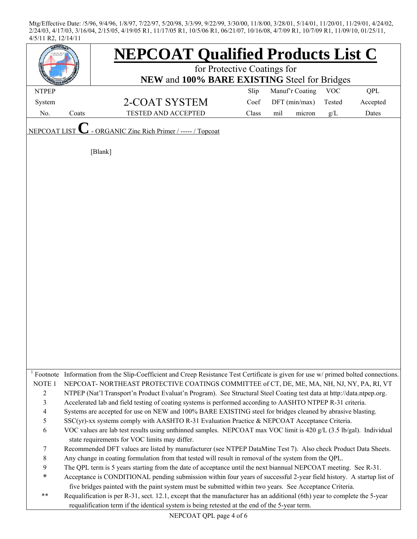| EPCOA             |       | <b>NEPCOAT Qualified Products List C</b>                                                                                                         |       |                 |        |            |            |  |
|-------------------|-------|--------------------------------------------------------------------------------------------------------------------------------------------------|-------|-----------------|--------|------------|------------|--|
|                   |       | for Protective Coatings for                                                                                                                      |       |                 |        |            |            |  |
|                   |       | NEW and 100% BARE EXISTING Steel for Bridges                                                                                                     |       |                 |        |            |            |  |
| <b>NTPEP</b>      |       |                                                                                                                                                  | Slip  | Manuf'r Coating |        | <b>VOC</b> | <b>QPL</b> |  |
| System            |       | 2-COAT SYSTEM                                                                                                                                    | Coef  | DFT (min/max)   |        | Tested     | Accepted   |  |
| No.               | Coats | <b>TESTED AND ACCEPTED</b>                                                                                                                       | Class | mil             | micron | g/L        | Dates      |  |
| NEPCOAT LIST      |       | - ORGANIC Zinc Rich Primer / ----- / Topcoat                                                                                                     |       |                 |        |            |            |  |
|                   |       | [Blank]                                                                                                                                          |       |                 |        |            |            |  |
|                   |       |                                                                                                                                                  |       |                 |        |            |            |  |
|                   |       |                                                                                                                                                  |       |                 |        |            |            |  |
|                   |       |                                                                                                                                                  |       |                 |        |            |            |  |
|                   |       |                                                                                                                                                  |       |                 |        |            |            |  |
|                   |       |                                                                                                                                                  |       |                 |        |            |            |  |
|                   |       |                                                                                                                                                  |       |                 |        |            |            |  |
|                   |       |                                                                                                                                                  |       |                 |        |            |            |  |
|                   |       |                                                                                                                                                  |       |                 |        |            |            |  |
|                   |       |                                                                                                                                                  |       |                 |        |            |            |  |
|                   |       |                                                                                                                                                  |       |                 |        |            |            |  |
|                   |       |                                                                                                                                                  |       |                 |        |            |            |  |
|                   |       |                                                                                                                                                  |       |                 |        |            |            |  |
|                   |       |                                                                                                                                                  |       |                 |        |            |            |  |
|                   |       |                                                                                                                                                  |       |                 |        |            |            |  |
|                   |       |                                                                                                                                                  |       |                 |        |            |            |  |
|                   |       |                                                                                                                                                  |       |                 |        |            |            |  |
|                   |       |                                                                                                                                                  |       |                 |        |            |            |  |
|                   |       |                                                                                                                                                  |       |                 |        |            |            |  |
|                   |       |                                                                                                                                                  |       |                 |        |            |            |  |
|                   |       |                                                                                                                                                  |       |                 |        |            |            |  |
|                   |       |                                                                                                                                                  |       |                 |        |            |            |  |
|                   |       | <sup>1</sup> Footnote Information from the Slip-Coefficient and Creep Resistance Test Certificate is given for use w/ primed bolted connections. |       |                 |        |            |            |  |
| NOTE <sub>1</sub> |       | NEPCOAT-NORTHEAST PROTECTIVE COATINGS COMMITTEE of CT, DE, ME, MA, NH, NJ, NY, PA, RI, VT                                                        |       |                 |        |            |            |  |
| $\mathfrak{2}$    |       | NTPEP (Nat'l Transport'n Product Evaluat'n Program). See Structural Steel Coating test data at http://data.ntpep.org.                            |       |                 |        |            |            |  |
| 3                 |       | Accelerated lab and field testing of coating systems is performed according to AASHTO NTPEP R-31 criteria.                                       |       |                 |        |            |            |  |
| 4                 |       | Systems are accepted for use on NEW and 100% BARE EXISTING steel for bridges cleaned by abrasive blasting.                                       |       |                 |        |            |            |  |
| 5                 |       | SSC(yr)-xx systems comply with AASHTO R-31 Evaluation Practice & NEPCOAT Acceptance Criteria.                                                    |       |                 |        |            |            |  |
| 6                 |       | VOC values are lab test results using unthinned samples. NEPCOAT max VOC limit is 420 g/L (3.5 lb/gal). Individual                               |       |                 |        |            |            |  |
|                   |       | state requirements for VOC limits may differ.                                                                                                    |       |                 |        |            |            |  |
| 7                 |       | Recommended DFT values are listed by manufacturer (see NTPEP DataMine Test 7). Also check Product Data Sheets.                                   |       |                 |        |            |            |  |
| 8                 |       | Any change in coating formulation from that tested will result in removal of the system from the QPL.                                            |       |                 |        |            |            |  |
| 9                 |       | The QPL term is 5 years starting from the date of acceptance until the next biannual NEPCOAT meeting. See R-31.                                  |       |                 |        |            |            |  |
| ∗                 |       | Acceptance is CONDITIONAL pending submission within four years of successful 2-year field history. A startup list of                             |       |                 |        |            |            |  |
|                   |       | five bridges painted with the paint system must be submitted within two years. See Acceptance Criteria.                                          |       |                 |        |            |            |  |
| **                |       | Requalification is per R-31, sect. 12.1, except that the manufacturer has an additional (6th) year to complete the 5-year                        |       |                 |        |            |            |  |
|                   |       | requalification term if the identical system is being retested at the end of the 5-year term.                                                    |       |                 |        |            |            |  |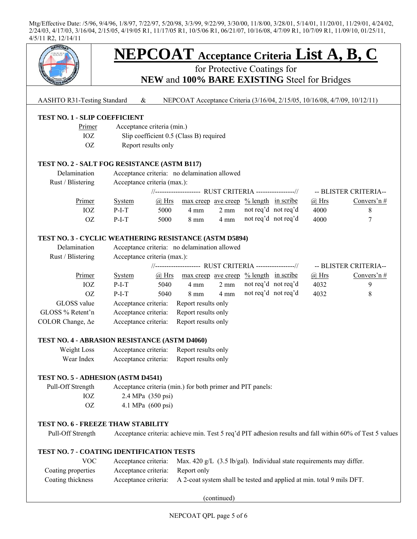

# for Protective Coatings for **NEW** and **100% BARE EXISTING** Steel for Bridges

AASHTO R31-Testing Standard & NEPCOAT Acceptance Criteria (3/16/04, 2/15/05, 10/16/08, 4/7/09, 10/12/11)

| Primer | Acceptance criteria (min.)              |
|--------|-----------------------------------------|
| IOZ.   | Slip coefficient 0.5 (Class B) required |
| OZ.    | Report results only                     |

#### **TEST NO. 2 - SALT FOG RESISTANCE (ASTM B117)**

| Delamination      |         | Acceptance criteria: no delamination allowed |                                                                |                |                     |  |              |                       |  |
|-------------------|---------|----------------------------------------------|----------------------------------------------------------------|----------------|---------------------|--|--------------|-----------------------|--|
| Rust / Blistering |         | Acceptance criteria (max.):                  |                                                                |                |                     |  |              |                       |  |
|                   |         |                                              | //------------------- RUST CRITERIA ----------------//         |                |                     |  |              | -- BLISTER CRITERIA-- |  |
| Primer            | System  | @ Hrs                                        | $\frac{\text{max creep}}{\text{ave creep}}$ % length in scribe |                |                     |  | $\omega$ Hrs | Convers'n $#$         |  |
| IOZ               | $P-I-T$ | 5000                                         | 4 mm                                                           | $2 \text{ mm}$ | not req'd not req'd |  | 4000         |                       |  |
| OZ                | $P-I-T$ | 5000                                         | $8 \text{ mm}$                                                 | $4 \text{ mm}$ | not req'd not req'd |  | 4000         |                       |  |

#### **TEST NO. 3 - CYCLIC WEATHERING RESISTANCE (ASTM D5894)**

| Delamination<br>Rust / Blistering | Acceptance criteria: no delamination allowed<br>Acceptance criteria (max.): |           |                                                   |                |                     |  |         |                       |
|-----------------------------------|-----------------------------------------------------------------------------|-----------|---------------------------------------------------|----------------|---------------------|--|---------|-----------------------|
|                                   | //------------------- RUST CRITERIA ----------------//                      |           |                                                   |                |                     |  |         | -- BLISTER CRITERIA-- |
| Primer                            | <b>System</b>                                                               | $(a)$ Hrs | $\frac{max\,creep}{ave\,ceep}$ % length in scribe |                |                     |  | $@$ Hrs | Convers'n#            |
| IOZ                               | $P-I-T$                                                                     | 5040      | $4 \text{ mm}$                                    | $2 \text{ mm}$ | not req'd not req'd |  | 4032    | 9                     |
| 0Z                                | $P-I-T$                                                                     | 5040      | $8 \text{ mm}$                                    | $4 \text{ mm}$ | not req'd not req'd |  | 4032    | 8                     |
| GLOSS value                       | Acceptance criteria:                                                        |           | Report results only                               |                |                     |  |         |                       |
| GLOSS % Retent'n                  | Acceptance criteria:                                                        |           | Report results only                               |                |                     |  |         |                       |
| COLOR Change, $\Delta e$          | Acceptance criteria:                                                        |           | Report results only                               |                |                     |  |         |                       |

#### **TEST NO. 4 - ABRASION RESISTANCE (ASTM D4060)**

| Weight Loss | Acceptance criteria: | Report results only |
|-------------|----------------------|---------------------|
| Wear Index  | Acceptance criteria: | Report results only |

#### **TEST NO. 5 - ADHESION (ASTM D4541)**

 Pull-Off Strength Acceptance criteria (min.) for both primer and PIT panels: IOZ 2.4 MPa (350 psi) OZ 4.1 MPa (600 psi)

#### **TEST NO. 6 - FREEZE THAW STABILITY**

Pull-Off Strength Acceptance criteria: achieve min. Test 5 req'd PIT adhesion results and fall within 60% of Test 5 values

#### **TEST NO. 7 - COATING IDENTIFICATION TESTS**

| VOC -              | Acceptance criteria:             | Max. $420 g/L$ (3.5 lb/gal). Individual state requirements may differ.                     |
|--------------------|----------------------------------|--------------------------------------------------------------------------------------------|
| Coating properties | Acceptance criteria: Report only |                                                                                            |
| Coating thickness  |                                  | Acceptance criteria: A 2-coat system shall be tested and applied at min. total 9 mils DFT. |

(continued)